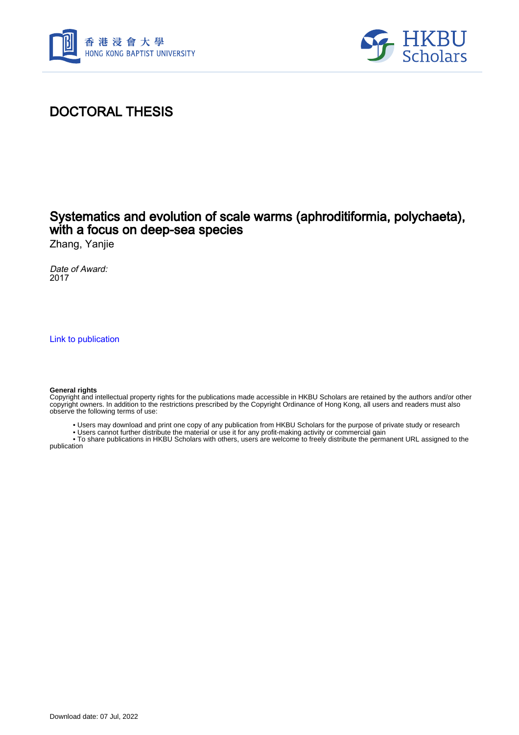



# DOCTORAL THESIS

## Systematics and evolution of scale warms (aphroditiformia, polychaeta), with a focus on deep-sea species

Zhang, Yanjie

Date of Award: 2017

[Link to publication](https://scholars.hkbu.edu.hk/en/studentTheses/587b8fe8-9688-4a02-8a96-825f2ff53666)

#### **General rights**

Copyright and intellectual property rights for the publications made accessible in HKBU Scholars are retained by the authors and/or other copyright owners. In addition to the restrictions prescribed by the Copyright Ordinance of Hong Kong, all users and readers must also observe the following terms of use:

- Users may download and print one copy of any publication from HKBU Scholars for the purpose of private study or research
- Users cannot further distribute the material or use it for any profit-making activity or commercial gain

 • To share publications in HKBU Scholars with others, users are welcome to freely distribute the permanent URL assigned to the publication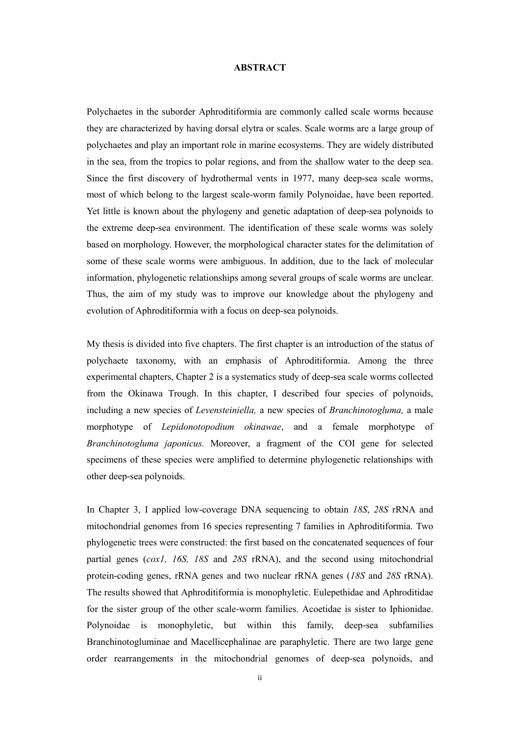### **ABSTRACT**

Polychaetes in the suborder Aphroditiformia are commonly called scale worms because they are characterized by having dorsal elytra or scales. Scale worms are a large group of polychaetes and play an important role in marine ecosystems. They are widely distributed in the sea, from the tropics to polar regions, and from the shallow water to the deep sea. Since the first discovery of hydrothermal vents in 1977, many deep-sea scale worms, most of which belong to the largest scale-worm family Polynoidae, have been reported. Yet little is known about the phylogeny and genetic adaptation of deep-sea polynoids to the extreme deep-sea environment. The identification of these scale worms was solely based on morphology. However, the morphological character states for the delimitation of some of these scale worms were ambiguous. In addition, due to the lack of molecular information, phylogenetic relationships among several groups of scale worms are unclear. Thus, the aim of my study was to improve our knowledge about the phylogeny and evolution of Aphroditiformia with a focus on deep-sea polynoids.

My thesis is divided into five chapters. The first chapter is an introduction of the status of polychaete taxonomy, with an emphasis of Aphroditiformia. Among the three experimental chapters, Chapter 2 is a systematics study of deep-sea scale worms collected from the Okinawa Trough. In this chapter, I described four species of polynoids, including a new species of *Levensteiniella,* a new species of *Branchinotogluma,* a male morphotype of *Lepidonotopodium okinawae*, and a female morphotype of *Branchinotogluma japonicus.* Moreover, a fragment of the COI gene for selected specimens of these species were amplified to determine phylogenetic relationships with other deep-sea polynoids.

In Chapter 3, I applied low-coverage DNA sequencing to obtain *18S*, *28S* rRNA and mitochondrial genomes from 16 species representing 7 families in Aphroditiformia. Two phylogenetic trees were constructed: the first based on the concatenated sequences of four partial genes (*cox1, 16S, 18S* and *28S* rRNA), and the second using mitochondrial protein-coding genes, rRNA genes and two nuclear rRNA genes (*18S* and *28S* rRNA). The results showed that Aphroditiformia is monophyletic. Eulepethidae and Aphroditidae for the sister group of the other scale-worm families. Acoetidae is sister to Iphionidae. Polynoidae is monophyletic, but within this family, deep-sea subfamilies Branchinotogluminae and Macellicephalinae are paraphyletic. There are two large gene order rearrangements in the mitochondrial genomes of deep-sea polynoids, and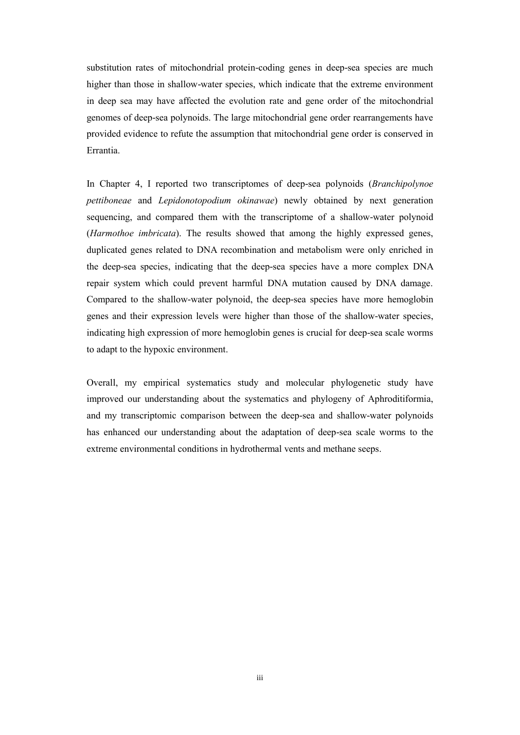substitution rates of mitochondrial protein-coding genes in deep-sea species are much higher than those in shallow-water species, which indicate that the extreme environment in deep sea may have affected the evolution rate and gene order of the mitochondrial genomes of deep-sea polynoids. The large mitochondrial gene order rearrangements have provided evidence to refute the assumption that mitochondrial gene order is conserved in Errantia.

In Chapter 4, I reported two transcriptomes of deep-sea polynoids (*Branchipolynoe pettiboneae* and *Lepidonotopodium okinawae*) newly obtained by next generation sequencing, and compared them with the transcriptome of a shallow-water polynoid (*Harmothoe imbricata*). The results showed that among the highly expressed genes, duplicated genes related to DNA recombination and metabolism were only enriched in the deep-sea species, indicating that the deep-sea species have a more complex DNA repair system which could prevent harmful DNA mutation caused by DNA damage. Compared to the shallow-water polynoid, the deep-sea species have more hemoglobin genes and their expression levels were higher than those of the shallow-water species, indicating high expression of more hemoglobin genes is crucial for deep-sea scale worms to adapt to the hypoxic environment.

Overall, my empirical systematics study and molecular phylogenetic study have improved our understanding about the systematics and phylogeny of Aphroditiformia, and my transcriptomic comparison between the deep-sea and shallow-water polynoids has enhanced our understanding about the adaptation of deep-sea scale worms to the extreme environmental conditions in hydrothermal vents and methane seeps.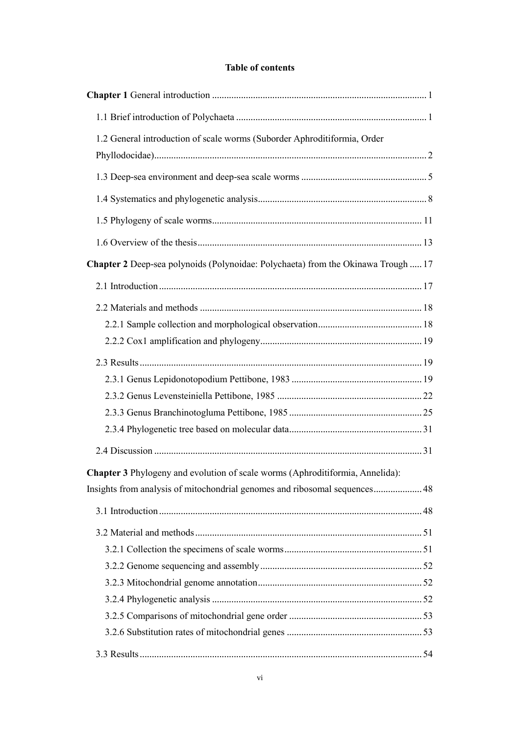### **Table of contents**

| 1.2 General introduction of scale worms (Suborder Aphroditiformia, Order          |  |
|-----------------------------------------------------------------------------------|--|
|                                                                                   |  |
|                                                                                   |  |
|                                                                                   |  |
|                                                                                   |  |
|                                                                                   |  |
| Chapter 2 Deep-sea polynoids (Polynoidae: Polychaeta) from the Okinawa Trough  17 |  |
|                                                                                   |  |
|                                                                                   |  |
|                                                                                   |  |
|                                                                                   |  |
|                                                                                   |  |
|                                                                                   |  |
|                                                                                   |  |
|                                                                                   |  |
|                                                                                   |  |
|                                                                                   |  |
| Chapter 3 Phylogeny and evolution of scale worms (Aphroditiformia, Annelida):     |  |
| Insights from analysis of mitochondrial genomes and ribosomal sequences 48        |  |
|                                                                                   |  |
|                                                                                   |  |
|                                                                                   |  |
|                                                                                   |  |
|                                                                                   |  |
|                                                                                   |  |
|                                                                                   |  |
|                                                                                   |  |
|                                                                                   |  |